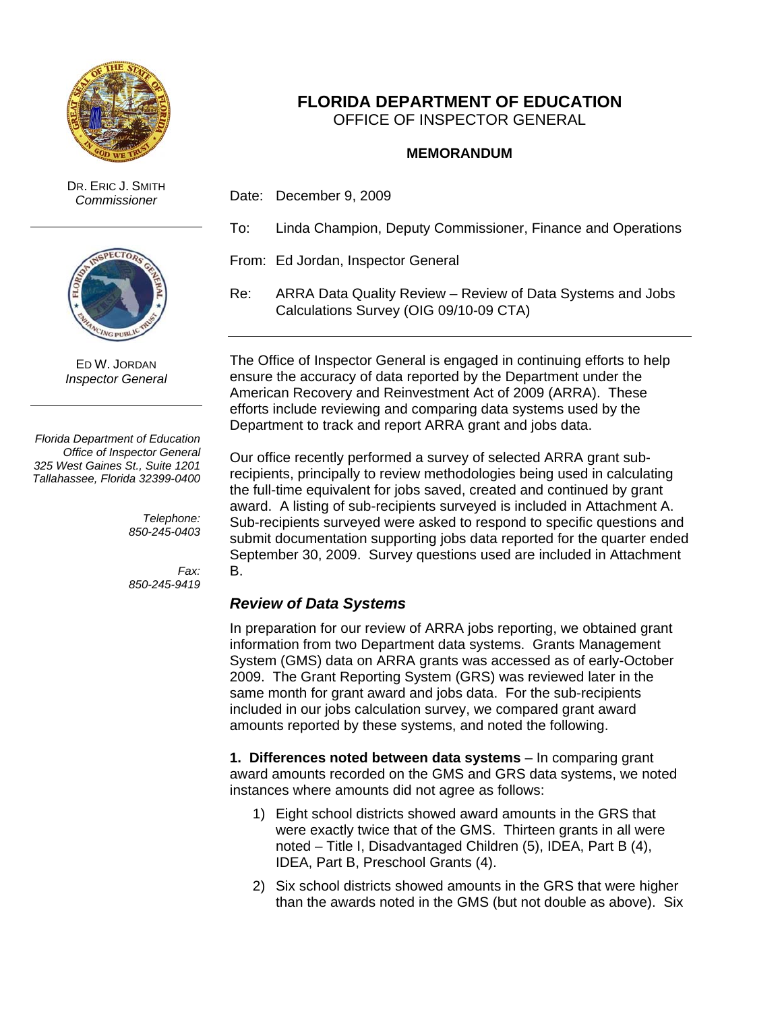

DR. ERIC J. SMITH



ED W. JORDAN *Inspector General* 

*Florida Department of Education Office of Inspector General 325 West Gaines St., Suite 1201 Tallahassee, Florida 32399-0400* 

> *Telephone: 850-245-0403*

> *Fax: 850-245-9419*

# **FLORIDA DEPARTMENT OF EDUCATION**  OFFICE OF INSPECTOR GENERAL

### **MEMORANDUM**

- *Commissioner* Date: December 9, 2009
	- To: Linda Champion, Deputy Commissioner, Finance and Operations

From: Ed Jordan, Inspector General

Re: ARRA Data Quality Review – Review of Data Systems and Jobs Calculations Survey (OIG 09/10-09 CTA)

The Office of Inspector General is engaged in continuing efforts to help ensure the accuracy of data reported by the Department under the American Recovery and Reinvestment Act of 2009 (ARRA). These efforts include reviewing and comparing data systems used by the Department to track and report ARRA grant and jobs data.

Our office recently performed a survey of selected ARRA grant subrecipients, principally to review methodologies being used in calculating the full-time equivalent for jobs saved, created and continued by grant award. A listing of sub-recipients surveyed is included in Attachment A. Sub-recipients surveyed were asked to respond to specific questions and submit documentation supporting jobs data reported for the quarter ended September 30, 2009. Survey questions used are included in Attachment B.

## *Review of Data Systems*

In preparation for our review of ARRA jobs reporting, we obtained grant information from two Department data systems. Grants Management System (GMS) data on ARRA grants was accessed as of early-October 2009. The Grant Reporting System (GRS) was reviewed later in the same month for grant award and jobs data. For the sub-recipients included in our jobs calculation survey, we compared grant award amounts reported by these systems, and noted the following.

**1. Differences noted between data systems** – In comparing grant award amounts recorded on the GMS and GRS data systems, we noted instances where amounts did not agree as follows:

- 1) Eight school districts showed award amounts in the GRS that were exactly twice that of the GMS. Thirteen grants in all were noted – Title I, Disadvantaged Children (5), IDEA, Part B (4), IDEA, Part B, Preschool Grants (4).
- 2) Six school districts showed amounts in the GRS that were higher than the awards noted in the GMS (but not double as above). Six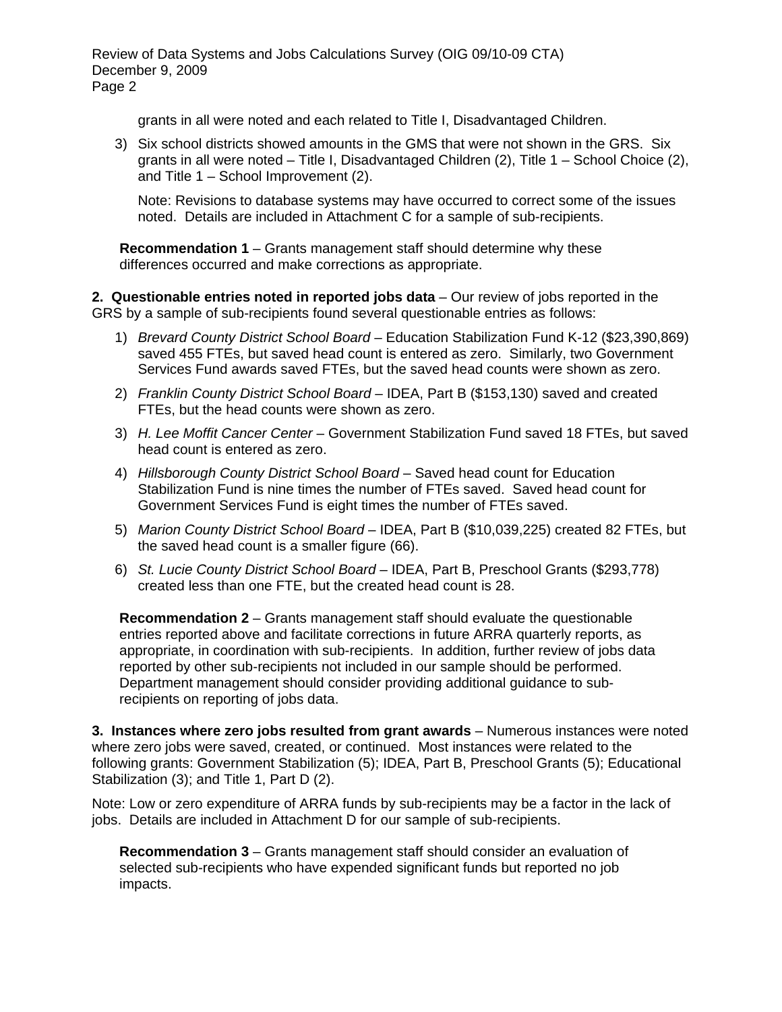grants in all were noted and each related to Title I, Disadvantaged Children.

3) Six school districts showed amounts in the GMS that were not shown in the GRS. Six grants in all were noted – Title I, Disadvantaged Children (2), Title 1 – School Choice (2), and Title 1 – School Improvement (2).

Note: Revisions to database systems may have occurred to correct some of the issues noted. Details are included in Attachment C for a sample of sub-recipients.

**Recommendation 1** – Grants management staff should determine why these differences occurred and make corrections as appropriate.

**2. Questionable entries noted in reported jobs data** – Our review of jobs reported in the GRS by a sample of sub-recipients found several questionable entries as follows:

- 1) *Brevard County District School Board* Education Stabilization Fund K-12 (\$23,390,869) saved 455 FTEs, but saved head count is entered as zero. Similarly, two Government Services Fund awards saved FTEs, but the saved head counts were shown as zero.
- 2) *Franklin County District School Board* IDEA, Part B (\$153,130) saved and created FTEs, but the head counts were shown as zero.
- 3) *H. Lee Moffit Cancer Center* Government Stabilization Fund saved 18 FTEs, but saved head count is entered as zero.
- 4) *Hillsborough County District School Board* Saved head count for Education Stabilization Fund is nine times the number of FTEs saved. Saved head count for Government Services Fund is eight times the number of FTEs saved.
- 5) *Marion County District School Board* IDEA, Part B (\$10,039,225) created 82 FTEs, but the saved head count is a smaller figure (66).
- 6) *St. Lucie County District School Board* IDEA, Part B, Preschool Grants (\$293,778) created less than one FTE, but the created head count is 28.

 recipients on reporting of jobs data. **Recommendation 2** – Grants management staff should evaluate the questionable entries reported above and facilitate corrections in future ARRA quarterly reports, as appropriate, in coordination with sub-recipients. In addition, further review of jobs data reported by other sub-recipients not included in our sample should be performed. Department management should consider providing additional guidance to sub-

**3. Instances where zero jobs resulted from grant awards** – Numerous instances were noted where zero jobs were saved, created, or continued. Most instances were related to the following grants: Government Stabilization (5); IDEA, Part B, Preschool Grants (5); Educational Stabilization (3); and Title 1, Part D (2).

Note: Low or zero expenditure of ARRA funds by sub-recipients may be a factor in the lack of jobs. Details are included in Attachment D for our sample of sub-recipients.

**Recommendation 3** – Grants management staff should consider an evaluation of selected sub-recipients who have expended significant funds but reported no job impacts.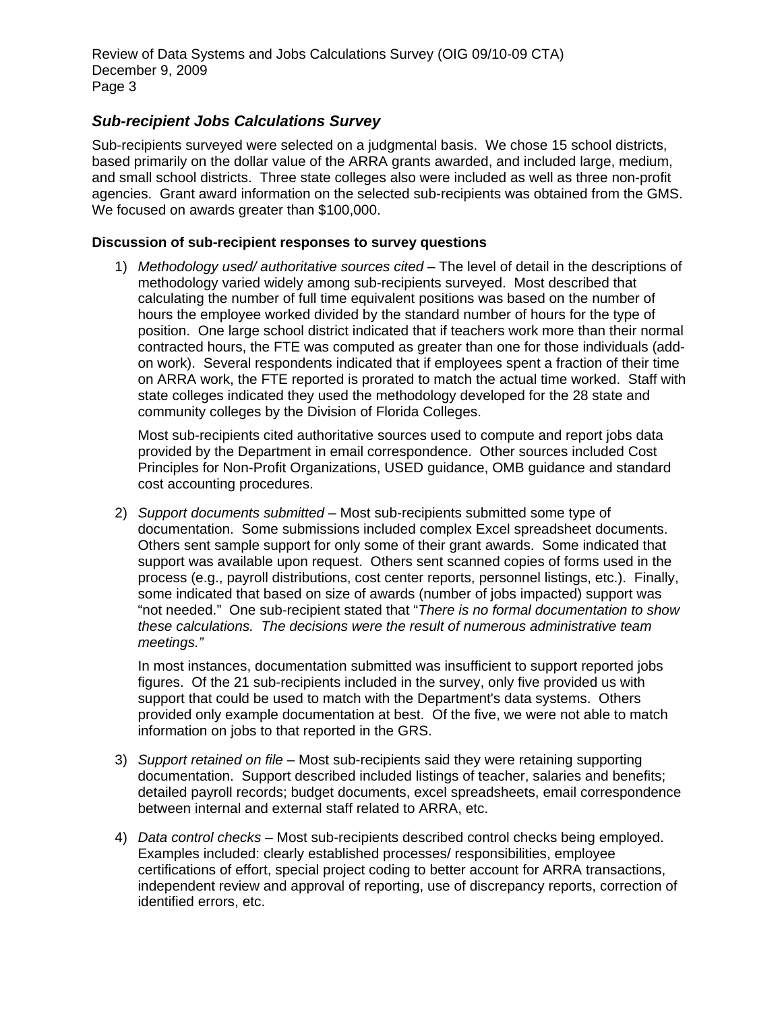# *Sub-recipient Jobs Calculations Survey*

Sub-recipients surveyed were selected on a judgmental basis. We chose 15 school districts, based primarily on the dollar value of the ARRA grants awarded, and included large, medium, and small school districts. Three state colleges also were included as well as three non-profit agencies. Grant award information on the selected sub-recipients was obtained from the GMS. We focused on awards greater than \$100,000.

### **Discussion of sub-recipient responses to survey questions**

1) *Methodology used/ authoritative sources cited* – The level of detail in the descriptions of methodology varied widely among sub-recipients surveyed. Most described that calculating the number of full time equivalent positions was based on the number of hours the employee worked divided by the standard number of hours for the type of position. One large school district indicated that if teachers work more than their normal contracted hours, the FTE was computed as greater than one for those individuals (addon work). Several respondents indicated that if employees spent a fraction of their time on ARRA work, the FTE reported is prorated to match the actual time worked. Staff with state colleges indicated they used the methodology developed for the 28 state and community colleges by the Division of Florida Colleges.

Most sub-recipients cited authoritative sources used to compute and report jobs data provided by the Department in email correspondence. Other sources included Cost Principles for Non-Profit Organizations, USED guidance, OMB guidance and standard cost accounting procedures.

 *meetings."* 2) *Support documents submitted* – Most sub-recipients submitted some type of documentation. Some submissions included complex Excel spreadsheet documents. Others sent sample support for only some of their grant awards. Some indicated that support was available upon request. Others sent scanned copies of forms used in the process (e.g., payroll distributions, cost center reports, personnel listings, etc.). Finally, some indicated that based on size of awards (number of jobs impacted) support was "not needed." One sub-recipient stated that "*There is no formal documentation to show these calculations. The decisions were the result of numerous administrative team* 

In most instances, documentation submitted was insufficient to support reported jobs figures. Of the 21 sub-recipients included in the survey, only five provided us with support that could be used to match with the Department's data systems. Others provided only example documentation at best. Of the five, we were not able to match information on jobs to that reported in the GRS.

- 3) *Support retained on file*  Most sub-recipients said they were retaining supporting documentation. Support described included listings of teacher, salaries and benefits; detailed payroll records; budget documents, excel spreadsheets, email correspondence between internal and external staff related to ARRA, etc.
- 4) *Data control checks* Most sub-recipients described control checks being employed. Examples included: clearly established processes/ responsibilities, employee certifications of effort, special project coding to better account for ARRA transactions, independent review and approval of reporting, use of discrepancy reports, correction of identified errors, etc.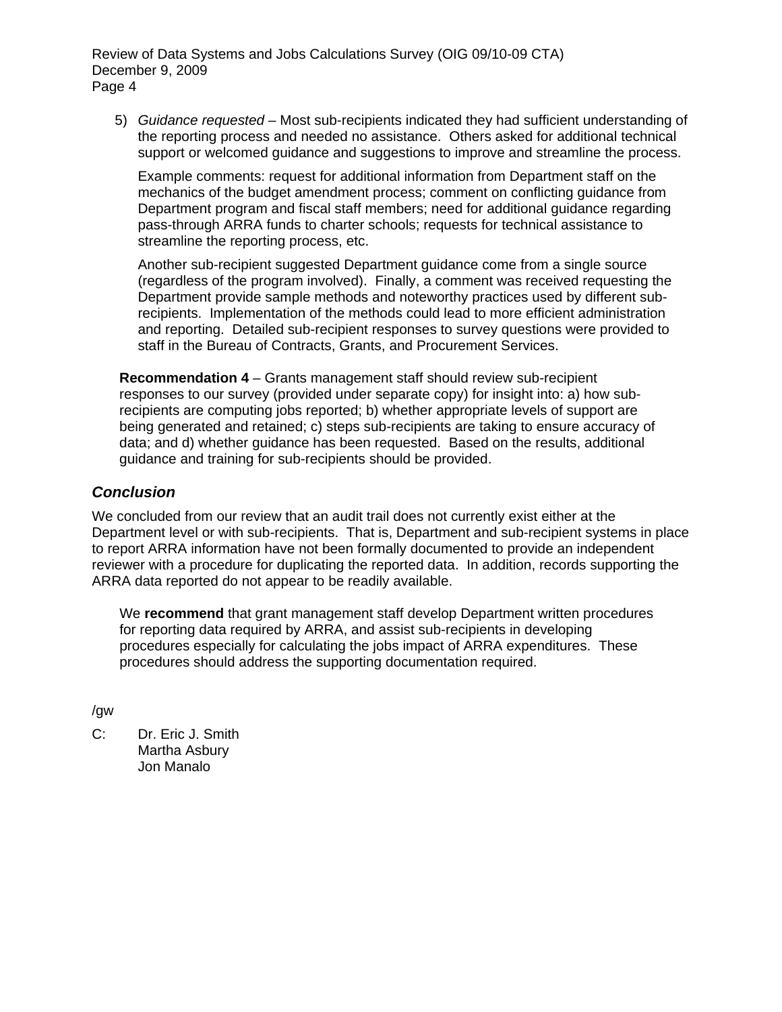5) *Guidance requested* – Most sub-recipients indicated they had sufficient understanding of the reporting process and needed no assistance. Others asked for additional technical support or welcomed guidance and suggestions to improve and streamline the process.

Example comments: request for additional information from Department staff on the mechanics of the budget amendment process; comment on conflicting guidance from Department program and fiscal staff members; need for additional guidance regarding pass-through ARRA funds to charter schools; requests for technical assistance to streamline the reporting process, etc.

Another sub-recipient suggested Department guidance come from a single source (regardless of the program involved). Finally, a comment was received requesting the Department provide sample methods and noteworthy practices used by different subrecipients. Implementation of the methods could lead to more efficient administration and reporting. Detailed sub-recipient responses to survey questions were provided to staff in the Bureau of Contracts, Grants, and Procurement Services.

**Recommendation 4** – Grants management staff should review sub-recipient responses to our survey (provided under separate copy) for insight into: a) how subrecipients are computing jobs reported; b) whether appropriate levels of support are being generated and retained; c) steps sub-recipients are taking to ensure accuracy of data; and d) whether guidance has been requested. Based on the results, additional guidance and training for sub-recipients should be provided.

## *Conclusion*

We concluded from our review that an audit trail does not currently exist either at the Department level or with sub-recipients. That is, Department and sub-recipient systems in place to report ARRA information have not been formally documented to provide an independent reviewer with a procedure for duplicating the reported data. In addition, records supporting the ARRA data reported do not appear to be readily available.

We **recommend** that grant management staff develop Department written procedures for reporting data required by ARRA, and assist sub-recipients in developing procedures especially for calculating the jobs impact of ARRA expenditures. These procedures should address the supporting documentation required.

/gw

C: Dr. Eric J. Smith Martha Asbury Jon Manalo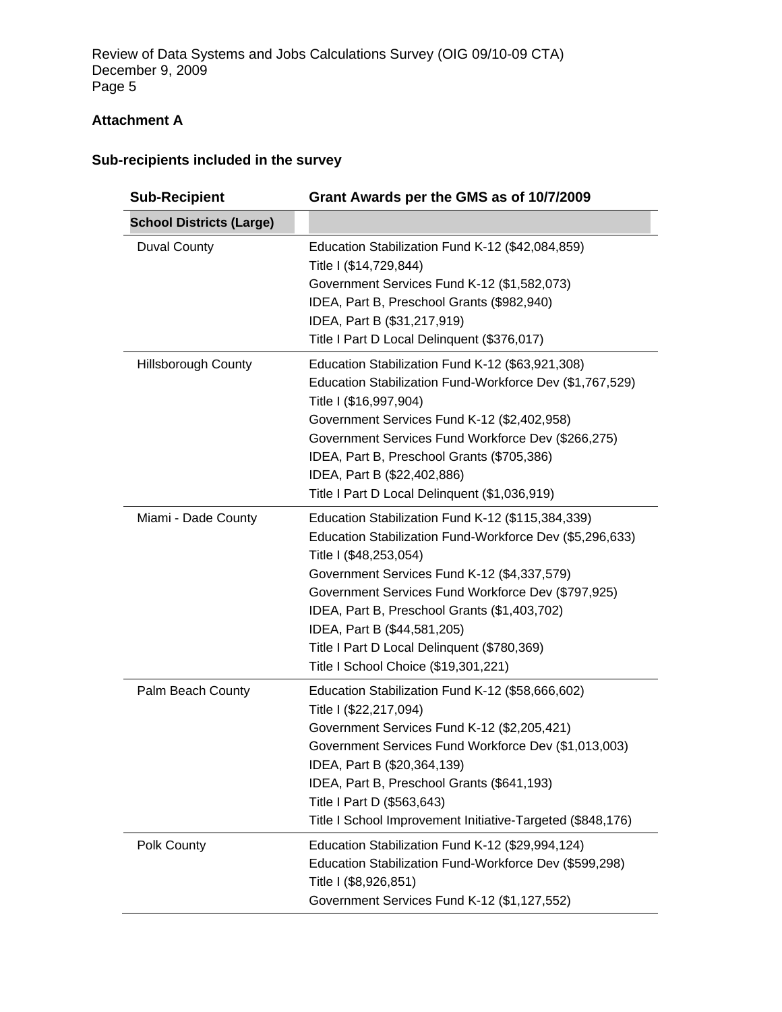# **Attachment A**

# **Sub-recipients included in the survey**

| <b>Sub-Recipient</b>            | Grant Awards per the GMS as of 10/7/2009                                                                                                                                                                                                                                                                                                                                                                           |  |  |
|---------------------------------|--------------------------------------------------------------------------------------------------------------------------------------------------------------------------------------------------------------------------------------------------------------------------------------------------------------------------------------------------------------------------------------------------------------------|--|--|
| <b>School Districts (Large)</b> |                                                                                                                                                                                                                                                                                                                                                                                                                    |  |  |
| <b>Duval County</b>             | Education Stabilization Fund K-12 (\$42,084,859)<br>Title I (\$14,729,844)<br>Government Services Fund K-12 (\$1,582,073)<br>IDEA, Part B, Preschool Grants (\$982,940)<br>IDEA, Part B (\$31,217,919)<br>Title I Part D Local Delinquent (\$376,017)                                                                                                                                                              |  |  |
| <b>Hillsborough County</b>      | Education Stabilization Fund K-12 (\$63,921,308)<br>Education Stabilization Fund-Workforce Dev (\$1,767,529)<br>Title I (\$16,997,904)<br>Government Services Fund K-12 (\$2,402,958)<br>Government Services Fund Workforce Dev (\$266,275)<br>IDEA, Part B, Preschool Grants (\$705,386)<br>IDEA, Part B (\$22,402,886)<br>Title I Part D Local Delinquent (\$1,036,919)                                          |  |  |
| Miami - Dade County             | Education Stabilization Fund K-12 (\$115,384,339)<br>Education Stabilization Fund-Workforce Dev (\$5,296,633)<br>Title I (\$48,253,054)<br>Government Services Fund K-12 (\$4,337,579)<br>Government Services Fund Workforce Dev (\$797,925)<br>IDEA, Part B, Preschool Grants (\$1,403,702)<br>IDEA, Part B (\$44,581,205)<br>Title I Part D Local Delinquent (\$780,369)<br>Title I School Choice (\$19,301,221) |  |  |
| Palm Beach County               | Education Stabilization Fund K-12 (\$58,666,602)<br>Title I (\$22,217,094)<br>Government Services Fund K-12 (\$2,205,421)<br>Government Services Fund Workforce Dev (\$1,013,003)<br>IDEA, Part B (\$20,364,139)<br>IDEA, Part B, Preschool Grants (\$641,193)<br>Title I Part D (\$563,643)<br>Title I School Improvement Initiative-Targeted (\$848,176)                                                         |  |  |
| Polk County                     | Education Stabilization Fund K-12 (\$29,994,124)<br>Education Stabilization Fund-Workforce Dev (\$599,298)<br>Title I (\$8,926,851)<br>Government Services Fund K-12 (\$1,127,552)                                                                                                                                                                                                                                 |  |  |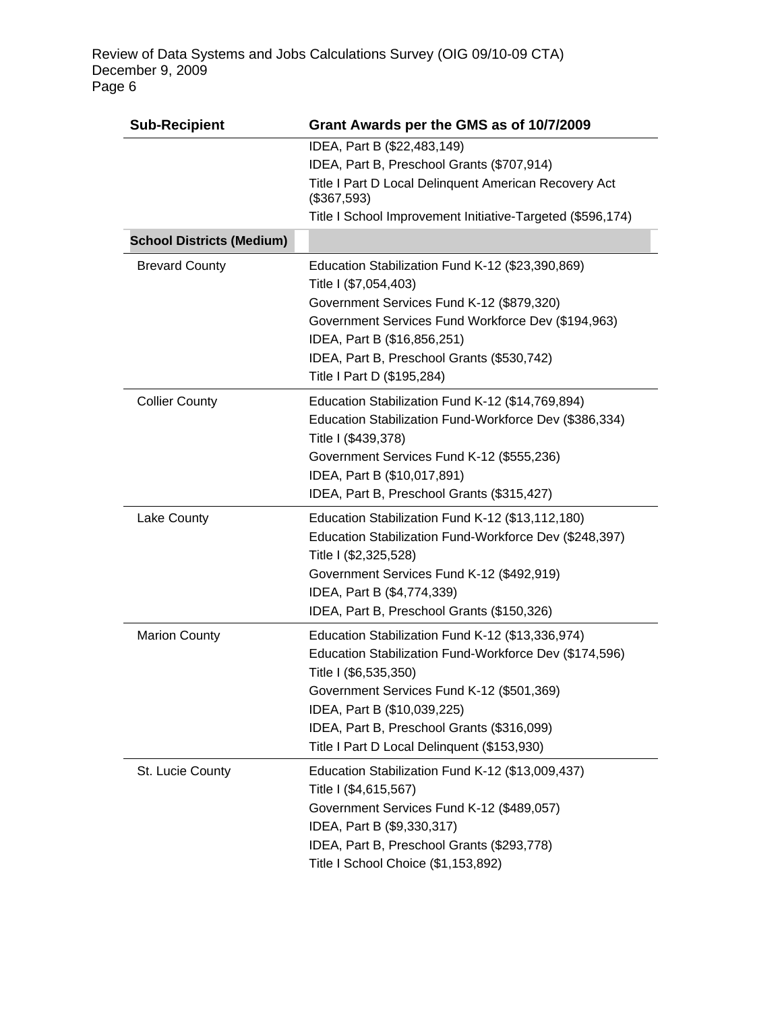| <b>Sub-Recipient</b>                                      | Grant Awards per the GMS as of 10/7/2009                                                                                                                                                                                                                                                                     |  |
|-----------------------------------------------------------|--------------------------------------------------------------------------------------------------------------------------------------------------------------------------------------------------------------------------------------------------------------------------------------------------------------|--|
| <b>School Districts (Medium)</b><br><b>Brevard County</b> | IDEA, Part B (\$22,483,149)<br>IDEA, Part B, Preschool Grants (\$707,914)<br>Title I Part D Local Delinquent American Recovery Act<br>(\$367,593)<br>Title I School Improvement Initiative-Targeted (\$596,174)<br>Education Stabilization Fund K-12 (\$23,390,869)                                          |  |
|                                                           | Title I (\$7,054,403)<br>Government Services Fund K-12 (\$879,320)<br>Government Services Fund Workforce Dev (\$194,963)<br>IDEA, Part B (\$16,856,251)<br>IDEA, Part B, Preschool Grants (\$530,742)<br>Title I Part D (\$195,284)                                                                          |  |
| <b>Collier County</b>                                     | Education Stabilization Fund K-12 (\$14,769,894)<br>Education Stabilization Fund-Workforce Dev (\$386,334)<br>Title I (\$439,378)<br>Government Services Fund K-12 (\$555,236)<br>IDEA, Part B (\$10,017,891)<br>IDEA, Part B, Preschool Grants (\$315,427)                                                  |  |
| Lake County                                               | Education Stabilization Fund K-12 (\$13,112,180)<br>Education Stabilization Fund-Workforce Dev (\$248,397)<br>Title I (\$2,325,528)<br>Government Services Fund K-12 (\$492,919)<br>IDEA, Part B (\$4,774,339)<br>IDEA, Part B, Preschool Grants (\$150,326)                                                 |  |
| <b>Marion County</b>                                      | Education Stabilization Fund K-12 (\$13,336,974)<br>Education Stabilization Fund-Workforce Dev (\$174,596)<br>Title I (\$6,535,350)<br>Government Services Fund K-12 (\$501,369)<br>IDEA, Part B (\$10,039,225)<br>IDEA, Part B, Preschool Grants (\$316,099)<br>Title I Part D Local Delinquent (\$153,930) |  |
| St. Lucie County                                          | Education Stabilization Fund K-12 (\$13,009,437)<br>Title I (\$4,615,567)<br>Government Services Fund K-12 (\$489,057)<br>IDEA, Part B (\$9,330,317)<br>IDEA, Part B, Preschool Grants (\$293,778)<br>Title I School Choice (\$1,153,892)                                                                    |  |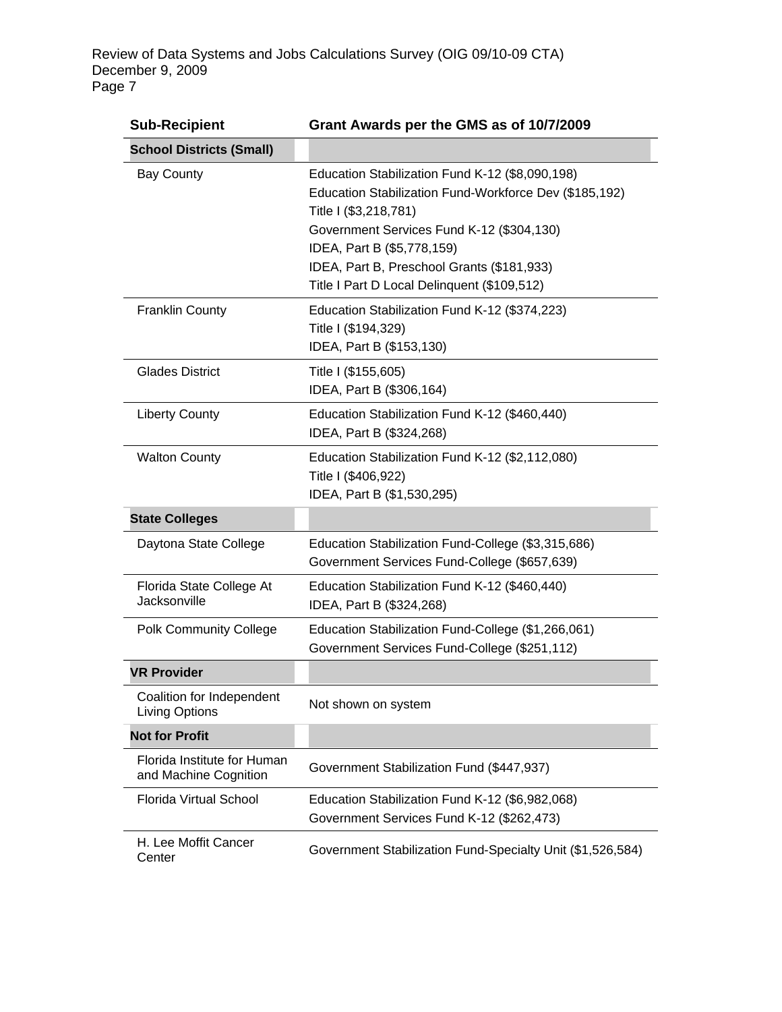| <b>Sub-Recipient</b>                                 | Grant Awards per the GMS as of 10/7/2009                                                                                                                                                                                                                                                                   |
|------------------------------------------------------|------------------------------------------------------------------------------------------------------------------------------------------------------------------------------------------------------------------------------------------------------------------------------------------------------------|
| <b>School Districts (Small)</b>                      |                                                                                                                                                                                                                                                                                                            |
| <b>Bay County</b>                                    | Education Stabilization Fund K-12 (\$8,090,198)<br>Education Stabilization Fund-Workforce Dev (\$185,192)<br>Title I (\$3,218,781)<br>Government Services Fund K-12 (\$304,130)<br>IDEA, Part B (\$5,778,159)<br>IDEA, Part B, Preschool Grants (\$181,933)<br>Title I Part D Local Delinquent (\$109,512) |
| <b>Franklin County</b>                               | Education Stabilization Fund K-12 (\$374,223)<br>Title I (\$194,329)<br>IDEA, Part B (\$153,130)                                                                                                                                                                                                           |
| <b>Glades District</b>                               | Title I (\$155,605)<br>IDEA, Part B (\$306,164)                                                                                                                                                                                                                                                            |
| <b>Liberty County</b>                                | Education Stabilization Fund K-12 (\$460,440)<br>IDEA, Part B (\$324,268)                                                                                                                                                                                                                                  |
| <b>Walton County</b>                                 | Education Stabilization Fund K-12 (\$2,112,080)<br>Title I (\$406,922)<br>IDEA, Part B (\$1,530,295)                                                                                                                                                                                                       |
| <b>State Colleges</b>                                |                                                                                                                                                                                                                                                                                                            |
| Daytona State College                                | Education Stabilization Fund-College (\$3,315,686)<br>Government Services Fund-College (\$657,639)                                                                                                                                                                                                         |
| Florida State College At<br>Jacksonville             | Education Stabilization Fund K-12 (\$460,440)<br>IDEA, Part B (\$324,268)                                                                                                                                                                                                                                  |
| <b>Polk Community College</b>                        | Education Stabilization Fund-College (\$1,266,061)<br>Government Services Fund-College (\$251,112)                                                                                                                                                                                                         |
| <b>VR Provider</b>                                   |                                                                                                                                                                                                                                                                                                            |
| Coalition for Independent<br>Living Options          | Not shown on system                                                                                                                                                                                                                                                                                        |
| <b>Not for Profit</b>                                |                                                                                                                                                                                                                                                                                                            |
| Florida Institute for Human<br>and Machine Cognition | Government Stabilization Fund (\$447,937)                                                                                                                                                                                                                                                                  |
| <b>Florida Virtual School</b>                        | Education Stabilization Fund K-12 (\$6,982,068)                                                                                                                                                                                                                                                            |
|                                                      | Government Services Fund K-12 (\$262,473)                                                                                                                                                                                                                                                                  |
| H. Lee Moffit Cancer<br>Center                       | Government Stabilization Fund-Specialty Unit (\$1,526,584)                                                                                                                                                                                                                                                 |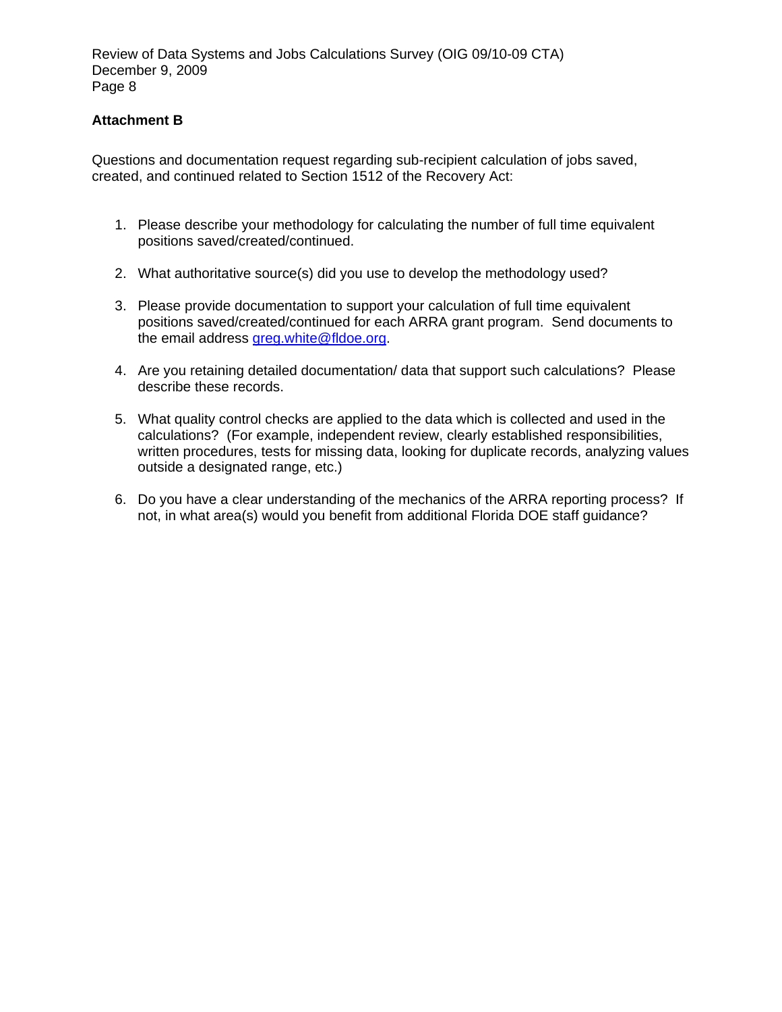## **Attachment B**

Questions and documentation request regarding sub-recipient calculation of jobs saved, created, and continued related to Section 1512 of the Recovery Act:

- 1. Please describe your methodology for calculating the number of full time equivalent positions saved/created/continued.
- 2. What authoritative source(s) did you use to develop the methodology used?
- 3. Please provide documentation to support your calculation of full time equivalent positions saved/created/continued for each ARRA grant program. Send documents to the email address [greg.white@fldoe.org.](mailto:greg.white@fldoe.org)
- 4. Are you retaining detailed documentation/ data that support such calculations? Please describe these records.
- 5. What quality control checks are applied to the data which is collected and used in the calculations? (For example, independent review, clearly established responsibilities, written procedures, tests for missing data, looking for duplicate records, analyzing values outside a designated range, etc.)
- 6. Do you have a clear understanding of the mechanics of the ARRA reporting process? If not, in what area(s) would you benefit from additional Florida DOE staff guidance?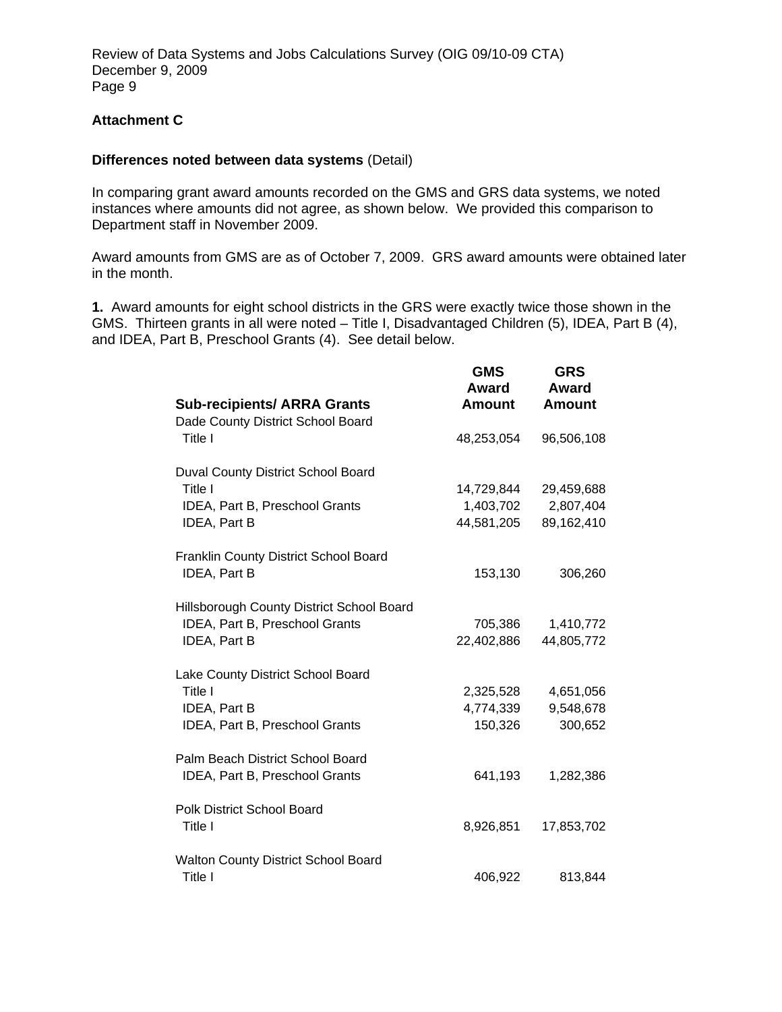## **Attachment C**

#### **Differences noted between data systems** (Detail)

In comparing grant award amounts recorded on the GMS and GRS data systems, we noted instances where amounts did not agree, as shown below. We provided this comparison to Department staff in November 2009.

Award amounts from GMS are as of October 7, 2009. GRS award amounts were obtained later in the month.

**1.** Award amounts for eight school districts in the GRS were exactly twice those shown in the GMS. Thirteen grants in all were noted – Title I, Disadvantaged Children (5), IDEA, Part B (4), and IDEA, Part B, Preschool Grants (4). See detail below.

| <b>Sub-recipients/ ARRA Grants</b>                                                              | <b>GMS</b><br>Award<br><b>Amount</b>  | <b>GRS</b><br>Award<br>Amount         |
|-------------------------------------------------------------------------------------------------|---------------------------------------|---------------------------------------|
| Dade County District School Board<br>Title I                                                    | 48,253,054                            | 96,506,108                            |
| Duval County District School Board<br>Title I<br>IDEA, Part B, Preschool Grants<br>IDEA, Part B | 14,729,844<br>1,403,702<br>44,581,205 | 29,459,688<br>2,807,404<br>89,162,410 |
| Franklin County District School Board<br>IDEA, Part B                                           | 153,130                               | 306,260                               |
| Hillsborough County District School Board<br>IDEA, Part B, Preschool Grants<br>IDEA, Part B     | 705,386<br>22,402,886                 | 1,410,772<br>44,805,772               |
| Lake County District School Board<br>Title I<br>IDEA, Part B<br>IDEA, Part B, Preschool Grants  | 2,325,528<br>4,774,339<br>150,326     | 4,651,056<br>9,548,678<br>300,652     |
| Palm Beach District School Board<br>IDEA, Part B, Preschool Grants                              | 641,193                               | 1,282,386                             |
| <b>Polk District School Board</b><br>Title I                                                    | 8,926,851                             | 17,853,702                            |
| Walton County District School Board<br>Title I                                                  | 406,922                               | 813,844                               |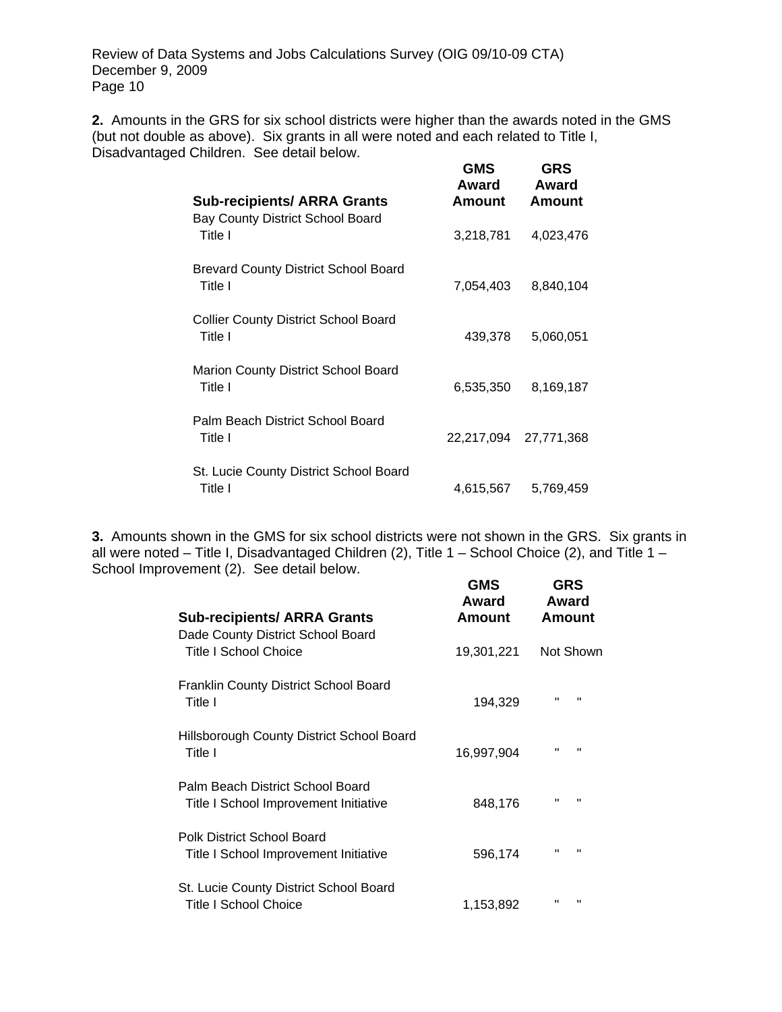**2.** Amounts in the GRS for six school districts were higher than the awards noted in the GMS (but not double as above). Six grants in all were noted and each related to Title I, Disadvantaged Children. See detail below. **GMS GRS** 

| <b>Sub-recipients/ ARRA Grants</b>                     | Award<br>Amount | Award<br>Amount       |
|--------------------------------------------------------|-----------------|-----------------------|
| <b>Bay County District School Board</b><br>Title I     | 3,218,781       | 4,023,476             |
| <b>Brevard County District School Board</b><br>Title I | 7,054,403       | 8,840,104             |
| <b>Collier County District School Board</b><br>Title I | 439,378         | 5,060,051             |
| Marion County District School Board<br>Title I         | 6,535,350       | 8,169,187             |
| Palm Beach District School Board<br>Title I            |                 | 22,217,094 27,771,368 |
| St. Lucie County District School Board<br>Title I      | 4,615,567       | 5,769,459             |

**3.** Amounts shown in the GMS for six school districts were not shown in the GRS. Six grants in all were noted – Title I, Disadvantaged Children (2), Title 1 – School Choice (2), and Title 1 – School Improvement (2). See detail below. **GMS GRS** 

| <b>Sub-recipients/ ARRA Grants</b>                                        | טועט<br>Award<br>Amount | כאט<br>Award<br>Amount         |
|---------------------------------------------------------------------------|-------------------------|--------------------------------|
| Dade County District School Board<br>Title I School Choice                | 19,301,221              | Not Shown                      |
| <b>Franklin County District School Board</b><br>Title I                   | 194,329                 | $\mathbf{H}$<br>$\blacksquare$ |
| Hillsborough County District School Board<br>Title I                      | 16,997,904              | $\mathbf{H}$<br>п              |
| Palm Beach District School Board<br>Title I School Improvement Initiative | 848,176                 | $\mathbf{H}$<br>$\mathbf{H}$   |
| Polk District School Board<br>Title I School Improvement Initiative       | 596,174                 | $\mathbf{H}$<br>$\blacksquare$ |
| St. Lucie County District School Board<br>Title I School Choice           | 1,153,892               | $\mathbf{H}$<br>Π              |